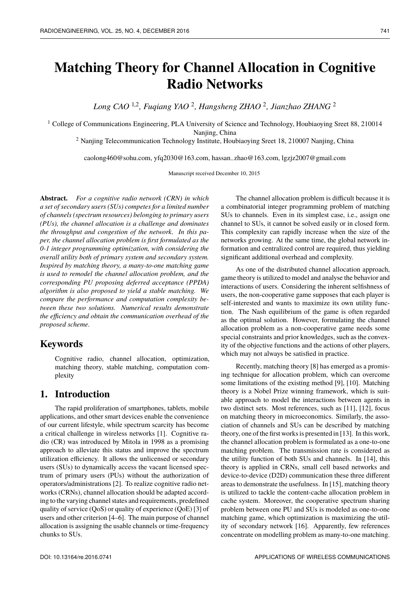*Long CAO* <sup>1</sup>,<sup>2</sup> *, Fuqiang YAO* <sup>2</sup> *, Hangsheng ZHAO* <sup>2</sup> *, Jianzhao ZHANG* <sup>2</sup>

<sup>1</sup> College of Communications Engineering, PLA University of Science and Technology, Houbiaoying Sreet 88, 210014 Naniing, China

<sup>2</sup> Nanjing Telecommunication Technology Institute, Houbiaoying Sreet 18, 210007 Nanjing, China

caolong460@sohu.com, yfq2030@163.com, hassan−zhao@163.com, lgzjz2007@gmail.com

Manuscript received December 10, 2015

**Abstract.** *For a cognitive radio network (CRN) in which a set of secondary users (SUs) competes for a limited number of channels (spectrum resources) belonging to primary users (PUs), the channel allocation is a challenge and dominates the throughput and congestion of the network. In this paper, the channel allocation problem is first formulated as the 0-1 integer programming optimization, with considering the overall utility both of primary system and secondary system. Inspired by matching theory, a many-to-one matching game is used to remodel the channel allocation problem, and the corresponding PU proposing deferred acceptance (PPDA) algorithm is also proposed to yield a stable matching. We compare the performance and computation complexity between these two solutions. Numerical results demonstrate the efficiency and obtain the communication overhead of the proposed scheme.*

## **Keywords**

Cognitive radio, channel allocation, optimization, matching theory, stable matching, computation complexity

## **1. Introduction**

The rapid proliferation of smartphones, tablets, mobile applications, and other smart devices enable the convenience of our current lifestyle, while spectrum scarcity has become a critical challenge in wireless networks [1]. Cognitive radio (CR) was introduced by Mitola in 1998 as a promising approach to alleviate this status and improve the spectrum utilization efficiency. It allows the unlicensed or secondary users (SUs) to dynamically access the vacant licensed spectrum of primary users (PUs) without the authorization of operators/administrations [2]. To realize cognitive radio networks (CRNs), channel allocation should be adapted according to the varying channel states and requirements, predefined quality of service (QoS) or quality of experience (QoE) [3] of users and other criterion [4–6]. The main purpose of channel allocation is assigning the usable channels or time-frequency chunks to SUs.

The channel allocation problem is difficult because it is a combinatorial integer programming problem of matching SUs to channels. Even in its simplest case, i.e., assign one channel to SUs, it cannot be solved easily or in closed form. This complexity can rapidly increase when the size of the networks growing. At the same time, the global network information and centralized control are required, thus yielding significant additional overhead and complexity.

As one of the distributed channel allocation approach, game theory is utilized to model and analyse the behavior and interactions of users. Considering the inherent selfishness of users, the non-cooperative game supposes that each player is self-interested and wants to maximize its own utility function. The Nash equilibrium of the game is often regarded as the optimal solution. However, formulating the channel allocation problem as a non-cooperative game needs some special constraints and prior knowledges, such as the convexity of the objective functions and the actions of other players, which may not always be satisfied in practice.

Recently, matching theory [8] has emerged as a promising technique for allocation problem, which can overcome some limitations of the existing method [9], [10]. Matching theory is a Nobel Prize winning framework, which is suitable approach to model the interactions between agents in two distinct sets. Most references, such as [11], [12], focus on matching theory in microeconomics. Similarly, the association of channels and SUs can be described by matching theory, one of the first works is presented in [13]. In this work, the channel allocation problem is formulated as a one-to-one matching problem. The transmission rate is considered as the utility function of both SUs and channels. In [14], this theory is applied in CRNs, small cell based networks and device-to-device (D2D) communication these three different areas to demonstrate the usefulness. In [15], matching theory is utilized to tackle the content-cache allocation problem in cache system. Moreover, the cooperative spectrum sharing problem between one PU and SUs is modeled as one-to-one matching game, which optimization is maximizing the utility of secondary network [16]. Apparently, few references concentrate on modelling problem as many-to-one matching.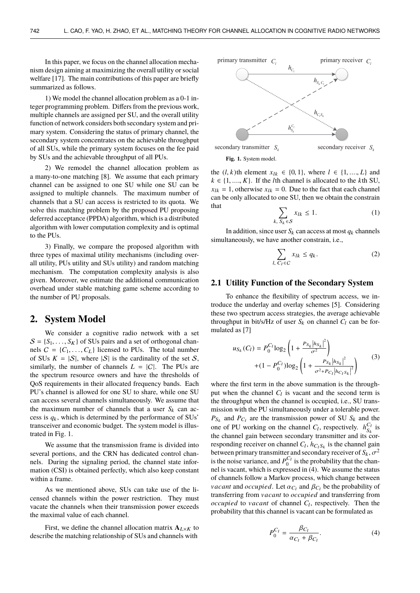In this paper, we focus on the channel allocation mechanism design aiming at maximizing the overall utility or social welfare [17]. The main contributions of this paper are briefly summarized as follows.

1) We model the channel allocation problem as a 0-1 integer programming problem. Differs from the previous work, multiple channels are assigned per SU, and the overall utility function of network considers both secondary system and primary system. Considering the status of primary channel, the secondary system concentrates on the achievable throughput of all SUs, while the primary system focuses on the fee paid by SUs and the achievable throughput of all PUs.

2) We remodel the channel allocation problem as a many-to-one matching [8]. We assume that each primary channel can be assigned to one SU while one SU can be assigned to multiple channels. The maximum number of channels that a SU can access is restricted to its quota. We solve this matching problem by the proposed PU proposing deferred acceptance (PPDA) algorithm, which is a distributed algorithm with lower computation complexity and is optimal to the PUs.

3) Finally, we compare the proposed algorithm with three types of maximal utility mechanisms (including overall utility, PUs utility and SUs utility) and random matching mechanism. The computation complexity analysis is also given. Moreover, we estimate the additional communication overhead under stable matching game scheme according to the number of PU proposals.

### **2. System Model**

We consider a cognitive radio network with a set  $S = \{S_1, \ldots, S_K\}$  of SUs pairs and a set of orthogonal channels  $C = \{C_1, \ldots, C_L\}$  licensed to PUs. The total number of SUs  $K = |S|$ , where  $|S|$  is the cardinality of the set S, similarly, the number of channels  $L = |C|$ . The PUs are the spectrum resource owners and have the thresholds of QoS requirements in their allocated frequency bands. Each PU's channel is allowed for one SU to share, while one SU can access several channels simultaneously. We assume that the maximum number of channels that a user  $S_k$  can access is  $q_k$ , which is determined by the performance of SUs' transceiver and economic budget. The system model is illustrated in Fig. 1.

We assume that the transmission frame is divided into several portions, and the CRN has dedicated control channels. During the signaling period, the channel state information (CSI) is obtained perfectly, which also keep constant within a frame.

As we mentioned above, SUs can take use of the licensed channels within the power restriction. They must vacate the channels when their transmission power exceeds the maximal value of each channel.

First, we define the channel allocation matrix  $A_{L\times K}$  to describe the matching relationship of SUs and channels with



**Fig. 1.** System model.

the (*l*, *k*)th element  $x_{lk}$  ∈ {0, 1}, where  $l$  ∈ {1, ..., *L*} and  $k \in \{1, \ldots, K\}$ . If the *l*th channel is allocated to the *k*th SU,  $x_{lk} = 1$ , otherwise  $x_{lk} = 0$ . Due to the fact that each channel can be only allocated to one SU, then we obtain the constrain  $\Gamma$   $\Gamma$ 

$$
\sum_{k, S_k \in \mathcal{S}} x_{lk} \le 1. \tag{1}
$$

In addition, since user  $S_k$  can access at most  $q_k$  channels simultaneously, we have another constrain, i.e.,

$$
\sum_{l,\ C_l \in C} x_{lk} \le q_k. \tag{2}
$$

#### **2.1 Utility Function of the Secondary System**

To enhance the flexibility of spectrum access, we introduce the underlay and overlay schemes [5]. Considering these two spectrum access strategies, the average achievable throughput in bit/s/Hz of user  $S_k$  on channel  $C_l$  can be formulated as [7]

$$
u_{S_k}(C_l) = P_0^{C_l} \log_2 \left( 1 + \frac{P_{S_k} |h_{S_k}|^2}{\sigma^2} \right) + (1 - P_0^{C_l}) \log_2 \left( 1 + \frac{P_{S_k} |h_{S_k}|^2}{\sigma^2 + P_{C_l} |h_{C_l S_k}|^2} \right)
$$
(3)

where the first term in the above summation is the throughput when the channel  $C_l$  is vacant and the second term is the throughput when the channel is occupied, i.e., SU transmission with the PU simultaneously under a tolerable power.  $P_{S_k}$  and  $P_{C_l}$  are the transmission power of SU  $S_k$  and the one of PU working on the channel  $C_l$ , respectively.  $h_{S_l}^{C_l}$  $S_k$  is the channel gain between secondary transmitter and its corresponding receiver on channel  $C_l$ ,  $h_{C_lS_k}$  is the channel gain between primary transmitter and secondary receiver of  $S_k$ ,  $\sigma^2$ <br>is the poise variance, and  $P^{C_l}$  is the probability that the chanis the noise variance, and  $P_0^{C_l}$  is the probability that the channel is vacant, which is expressed in (4). We assume the status of channels follow a Markov process, which change between *vacant* and *occupied*. Let  $\alpha_{C_l}$  and  $\beta_{C_l}$  be the probability of transferring from *vacant* to *occupied* and transferring from transferring from v*acant* to *occupied* and transferring from *occupied* to *vacant* of channel  $C_l$ , respectively. Then the probability that this channel is vacant can be formulated as

$$
P_0^{C_l} = \frac{\beta_{C_l}}{\alpha_{C_l} + \beta_{C_l}}.\tag{4}
$$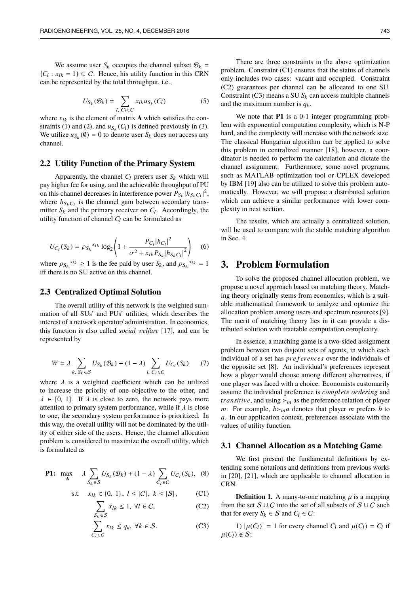We assume user  $S_k$  occupies the channel subset  $\mathcal{B}_k$  =  $\{C_l : x_{lk} = 1\} \subseteq C$ . Hence, his utility function in this CRN can be represented by the total throughput, i.e.,

$$
U_{S_k}(\mathcal{B}_k) = \sum_{l, C_l \in C} x_{lk} u_{S_k}(C_l)
$$
 (5)

where  $x_{lk}$  is the element of matrix **A** which satisfies the constraints (1) and (2), and  $u_{S_k}(C_l)$  is defined previously in (3). We utilize  $u_{S_k}(\emptyset) = 0$  to denote user  $S_k$  does not access any channel.

### **2.2 Utility Function of the Primary System**

Apparently, the channel  $C_l$  prefers user  $S_k$  which will pay higher fee for using, and the achievable throughput of PU on this channel decreases in interference power  $P_{S_k}$   $|h_{S_kC_l}|^2$ , where  $h_{S_kC_l}$  is the channel gain between secondary transmitter  $S_k$  and the primary receiver on  $C_l$ . Accordingly, the utility function of channel  $C_l$  can be formulated as

$$
U_{C_l}(S_k) = \rho_{S_k}^{x_{lk}} \log_2 \left( 1 + \frac{P_{C_l} |h_{C_l}|^2}{\sigma^2 + x_{lk} P_{S_k} |h_{S_k C_l}|^2} \right) \tag{6}
$$

where  $\rho_{S_k}^{x_{lk}} \ge 1$  is the fee paid by user  $S_k$ , and  $\rho_{S_k}^{x_{lk}} = 1$ <br>iff there is no SU active on this channel iff there is no SU active on this channel.

### **2.3 Centralized Optimal Solution**

The overall utility of this network is the weighted summation of all SUs' and PUs' utilities, which describes the interest of a network operator/ administration. In economics, this function is also called *social welfare* [17], and can be represented by

$$
W = \lambda \sum_{k, S_k \in S} U_{S_k}(\mathcal{B}_k) + (1 - \lambda) \sum_{l, C_l \in C} U_{C_l}(S_k) \tag{7}
$$

where  $\lambda$  is a weighted coefficient which can be utilized to increase the priority of one objective to the other, and  $\lambda \in [0, 1]$ . If  $\lambda$  is close to zero, the network pays more attention to primary system performance, while if  $\lambda$  is close to one, the secondary system performance is prioritized. In this way, the overall utility will not be dominated by the utility of either side of the users. Hence, the channel allocation problem is considered to maximize the overall utility, which is formulated as

**P1:** 
$$
\max_{\mathbf{A}} \quad \lambda \sum_{S_k \in \mathcal{S}} U_{S_k}(\mathcal{B}_k) + (1 - \lambda) \sum_{C_l \in \mathcal{C}} U_{C_l}(S_k), \quad (8)
$$

s.t. 
$$
x_{lk} \in \{0, 1\}, l \leq |C|, k \leq |S|,
$$
 (C1)

$$
\sum_{S_k \in \mathcal{S}} x_{lk} \le 1, \ \forall l \in \mathcal{C}, \tag{C2}
$$

$$
\sum_{C_l \in C} x_{lk} \le q_k, \ \forall k \in S. \tag{C3}
$$

There are three constraints in the above optimization problem. Constraint (C1) ensures that the status of channels only includes two cases: vacant and occupied. Constraint (C2) guarantees per channel can be allocated to one SU. Constraint (C3) means a SU  $S_k$  can access multiple channels and the maximum number is  $q_k$ .

We note that **P1** is a 0-1 integer programming problem with exponential computation complexity, which is N-P hard, and the complexity will increase with the network size. The classical Hungarian algorithm can be applied to solve this problem in centralized manner [18], however, a coordinator is needed to perform the calculation and dictate the channel assignment. Furthermore, some novel programs, such as MATLAB optimization tool or CPLEX developed by IBM [19] also can be utilized to solve this problem automatically. However, we will propose a distributed solution which can achieve a similar performance with lower complexity in next section.

The results, which are actually a centralized solution, will be used to compare with the stable matching algorithm in Sec. 4.

### **3. Problem Formulation**

To solve the proposed channel allocation problem, we propose a novel approach based on matching theory. Matching theory originally stems from economics, which is a suitable mathematical framework to analyze and optimize the allocation problem among users and spectrum resources [9]. The merit of matching theory lies in it can provide a distributed solution with tractable computation complexity.

In essence, a matching game is a two-sided assignment problem between two disjoint sets of agents, in which each individual of a set has *pre f erences* over the individuals of the opposite set [8]. An individual's preferences represent how a player would choose among different alternatives, if one player was faced with a choice. Economists customarily assume the individual preference is *complete or derin*g and *transitive*, and using  $\geq_m$  as the preference relation of player *m*. For example,  $b >_{m} a$  denotes that player *m* prefers *b* to *a*. In our application context, preferences associate with the values of utility function.

#### **3.1 Channel Allocation as a Matching Game**

We first present the fundamental definitions by extending some notations and definitions from previous works in [20], [21], which are applicable to channel allocation in CRN.

**Definition 1.** A many-to-one matching  $\mu$  is a mapping from the set  $S \cup C$  into the set of all subsets of  $S \cup C$  such that for every  $S_k \in \mathcal{S}$  and  $C_l \in \mathcal{C}$ :

1)  $|\mu(C_l)| = 1$  for every channel  $C_l$  and  $\mu(C_l) = C_l$  if  $\mu(C_l) \notin \mathcal{S}$ ;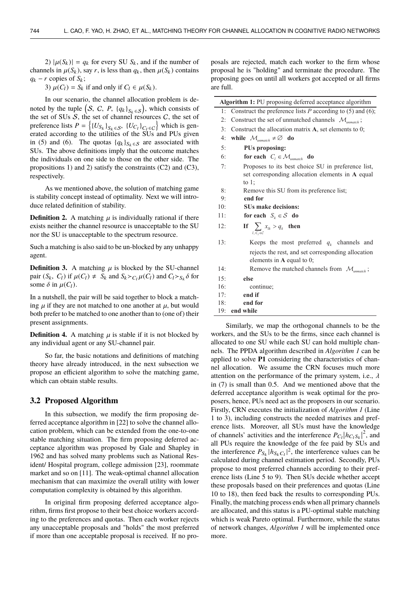2)  $|\mu(S_k)| = q_k$  for every SU  $S_k$ , and if the number of channels in  $\mu(S_k)$ , say *r*, is less than  $q_k$ , then  $\mu(S_k)$  contains  $q_k - r$  copies of  $S_k$ ;

3)  $\mu(C_l) = S_k$  if and only if  $C_l \in \mu(S_k)$ .

In our scenario, the channel allocation problem is denoted by the tuple  $(S, C, P, {q_k}_{s_k \in S})$ , which consists of the set of SUs S, the set of channel resources C, the set of the set of SUs  $S$ , the set of channel resources  $C$ , the set of the set of SUs *S*, the set of channel resources *C*, the set of preference lists  $P = \left\{ \left\{ U_{S_k} \right\}_{S_k \in S}$ ,  $\left\{ U_{C_l} \right\}_{C_l \in C} \right\}$  which is generated according to the utilities of the SUs and PUs given erated according to the utilities of the SUs and PUs given in (5) and (6). The quotas  ${q_k}_{S_k \in S}$  are associated with SUs. The above definitions imply that the outcome matches the individuals on one side to those on the other side. The propositions 1) and 2) satisfy the constraints (C2) and (C3), respectively.

As we mentioned above, the solution of matching game is stability concept instead of optimality. Next we will introduce related definition of stability.

**Definition 2.** A matching  $\mu$  is individually rational if there exists neither the channel resource is unacceptable to the SU nor the SU is unacceptable to the spectrum resource.

Such a matching is also said to be un-blocked by any unhappy agent.

**Definition 3.** A matching  $\mu$  is blocked by the SU-channel pair  $(S_k, C_l)$  if  $\mu(C_l) \neq S_k$  and  $S_k > C_l \mu(C_l)$  and  $C_l > S_k \delta$  for some  $\delta$  in  $\mu(C_l)$ some  $\delta$  in  $\mu(C_l)$ .

In a nutshell, the pair will be said together to block a matching  $\mu$  if they are not matched to one another at  $\mu$ , but would both prefer to be matched to one another than to (one of) their present assignments.

**Definition 4.** A matching  $\mu$  is stable if it is not blocked by any individual agent or any SU-channel pair.

So far, the basic notations and definitions of matching theory have already introduced, in the next subsection we propose an efficient algorithm to solve the matching game, which can obtain stable results.

### **3.2 Proposed Algorithm**

In this subsection, we modify the firm proposing deferred acceptance algorithm in [22] to solve the channel allocation problem, which can be extended from the one-to-one stable matching situation. The firm proposing deferred acceptance algorithm was proposed by Gale and Shapley in 1962 and has solved many problems such as National Resident/ Hospital program, college admission [23], roommate market and so on [11]. The weak-optimal channel allocation mechanism that can maximize the overall utility with lower computation complexity is obtained by this algorithm.

In original firm proposing deferred acceptance algorithm, firms first propose to their best choice workers according to the preferences and quotas. Then each worker rejects any unacceptable proposals and "holds" the most preferred if more than one acceptable proposal is received. If no proposals are rejected, match each worker to the firm whose proposal he is "holding" and terminate the procedure. The proposing goes on until all workers got accepted or all firms are full.

| Algorithm 1: PU proposing deferred acceptance algorithm |                                                                          |  |
|---------------------------------------------------------|--------------------------------------------------------------------------|--|
| 1:                                                      | Construct the preference lists $P$ according to (5) and (6);             |  |
| 2:                                                      | Construct the set of unmatched channels $\mathcal{M}_{\text{unmatch}}$ ; |  |
| 3:                                                      | Construct the allocation matrix $A$ , set elements to 0;                 |  |
| 4:                                                      | while $\mathcal{M}_{unmatch} \neq \emptyset$ do                          |  |
| 5:                                                      | PUs proposing:                                                           |  |
| 6:                                                      | for each $C_i \in \mathcal{M}_{unmatch}$ do                              |  |
| 7:                                                      | Proposes to its best choice SU in preference list,                       |  |
|                                                         | set corresponding allocation elements in A equal                         |  |
|                                                         | to $1$ ;                                                                 |  |
| 8:                                                      | Remove this SU from its preference list;                                 |  |
| 9:                                                      | end for                                                                  |  |
| 10:                                                     | <b>SUs make decisions:</b>                                               |  |
| 11:                                                     | for each $S_k \in \mathcal{S}$ do                                        |  |
| 12:                                                     | If $\sum x_{ik} > q_k$ then<br>$\overline{C}$ <sub>c</sub> c             |  |
| 13:                                                     | Keeps the most preferred $q_k$ channels and                              |  |
|                                                         | rejects the rest, and set corresponding allocation                       |  |
|                                                         | elements in $A$ equal to 0;                                              |  |
| 14:                                                     | Remove the matched channels from $\mathcal{M}_{\text{unmatch}}$ ;        |  |
| 15:                                                     | else                                                                     |  |
| 16:                                                     | continue;                                                                |  |
| 17:                                                     | end if                                                                   |  |
| 18:                                                     | end for                                                                  |  |
| 19:                                                     | end while                                                                |  |

Similarly, we map the orthogonal channels to be the workers, and the SUs to be the firms, since each channel is allocated to one SU while each SU can hold multiple channels. The PPDA algorithm described in *Algorithm 1* can be applied to solve **P1** considering the characteristics of channel allocation. We assume the CRN focuses much more attention on the performance of the primary system, i.e.,  $\lambda$ in (7) is small than 0.5. And we mentioned above that the deferred acceptance algorithm is weak optimal for the proposers, hence, PUs need act as the proposers in our scenario. Firstly, CRN executes the initialization of *Algorithm 1* (Line 1 to 3), including constructs the needed matrixes and preference lists. Moreover, all SUs must have the knowledge of channels' activities and the interference  $P_{C_l} |h_{C_l s_k}|^2$ , and all PUs require the knowledge of the fee paid by SUs and the interference  $P_{S_k} |h_{S_kC_l}|^2$ , the interference values can be calculated during channel estimation period. Secondly, PUs propose to most preferred channels according to their preference lists (Line 5 to 9). Then SUs decide whether accept these proposals based on their preferences and quotas (Line 10 to 18), then feed back the results to corresponding PUs. Finally, the matching process ends when all primary channels are allocated, and this status is a PU-optimal stable matching which is weak Pareto optimal. Furthermore, while the status of network changes, *Algorithm 1* will be implemented once more.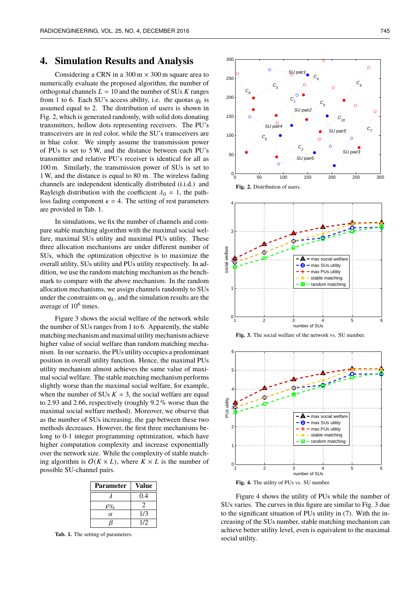# **4. Simulation Results and Analysis**

Considering a CRN in a  $300 \text{ m} \times 300 \text{ m}$  square area to numerically evaluate the proposed algorithm, the number of orthogonal channels  $L = 10$  and the number of SUs  $K$  ranges from 1 to 6. Each SU's access ability, i.e. the quotas  $q_k$  is assumed equal to 2. The distribution of users is shown in Fig. 2, which is generated randomly, with solid dots donating transmitters, hollow dots representing receivers. The PU's transceivers are in red color, while the SU's transceivers are in blue color. We simply assume the transmission power of PUs is set to 5 W, and the distance between each PU's transmitter and relative PU's receiver is identical for all as 100 m. Similarly, the transmission power of SUs is set to 1 W, and the distance is equal to 80 m. The wireless fading channels are independent identically distributed (i.i.d.) and Rayleigh distribution with the coefficient  $\lambda_0 = 1$ , the pathloss fading component  $\kappa = 4$ . The setting of rest parameters are provided in Tab. 1.

In simulations, we fix the number of channels and compare stable matching algorithm with the maximal social welfare, maximal SUs utility and maximal PUs utility. These three allocation mechanisms are under different number of SUs, which the optimization objective is to maximize the overall utility, SUs utility and PUs utility respectively. In addition, we use the random matching mechanism as the benchmark to compare with the above mechanism. In the random allocation mechanisms, we assign channels randomly to SUs under the constraints on  $q_k$ , and the simulation results are the average of 10<sup>6</sup> times.

Figure 3 shows the social welfare of the network while the number of SUs ranges from 1 to 6. Apparently, the stable matching mechanism and maximal utility mechanism achieve higher value of social welfare than random matching mechanism. In our scenario, the PUs utility occupies a predominant position in overall utility function. Hence, the maximal PUs utility mechanism almost achieves the same value of maximal social welfare. The stable matching mechanism performs slightly worse than the maximal social welfare, for example, when the number of SUs  $K = 3$ , the social welfare are equal to 2.93 and 2.66, respectively (roughly 9.2 % worse than the maximal social welfare method). Moreover, we observe that as the number of SUs increasing, the gap between these two methods decreases. However, the first three mechanisms belong to 0-1 integer programming optimization, which have higher computation complexity and increase exponentially over the network size. While the complexity of stable matching algorithm is  $O(K \times L)$ , where  $K \times L$  is the number of possible SU-channel pairs.

| <b>Parameter</b> | <b>Value</b> |
|------------------|--------------|
|                  | 0.4          |
| $\rho_{S_k}$     |              |
| $\alpha$         | 1/3          |
|                  | 1/2          |

**Tab. 1.** The setting of parameters.



**Fig. 2.** Distribution of users.



**Fig. 3.** The social welfare of the network vs. SU number.



**Fig. 4.** The utility of PUs vs. SU number.

Figure 4 shows the utility of PUs while the number of SUs varies. The curves in this figure are similar to Fig. 3 due to the significant situation of PUs utility in (7). With the increasing of the SUs number, stable matching mechanism can achieve better utility level, even is equivalent to the maximal social utility.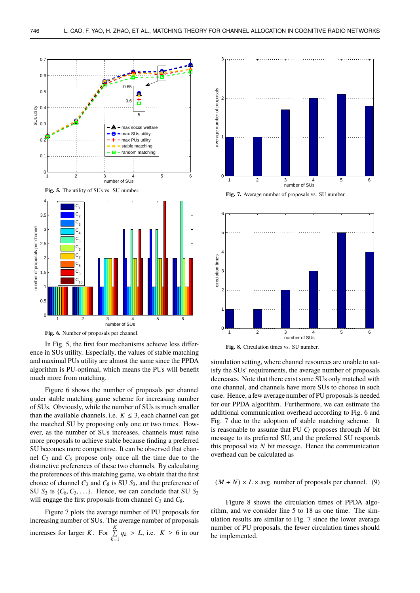

In Fig. 5, the first four mechanisms achieve less difference in SUs utility. Especially, the values of stable matching and maximal PUs utility are almost the same since the PPDA algorithm is PU-optimal, which means the PUs will benefit much more from matching.

Figure 6 shows the number of proposals per channel under stable matching game scheme for increasing number of SUs. Obviously, while the number of SUs is much smaller than the available channels, i.e.  $K \leq 3$ , each channel can get the matched SU by proposing only one or two times. However, as the number of SUs increases, channels must raise more proposals to achieve stable because finding a preferred SU becomes more competitive. It can be observed that channel  $C_3$  and  $C_8$  propose only once all the time due to the distinctive preferences of these two channels. By calculating the preferences of this matching game, we obtain that the first choice of channel *C*<sup>3</sup> and *C*<sup>8</sup> is SU *S*3, and the preference of SU  $S_3$  is  $\{C_8, C_3, \ldots\}$ . Hence, we can conclude that SU  $S_3$ will engage the first proposals from channel  $C_3$  and  $C_8$ .

Figure 7 plots the average number of PU proposals for increasing number of SUs. The average number of proposals increases for larger *K*. For  $\sum_{k=1}^{K}$  $\sum_{k=1} q_k > L$ , i.e.  $K \ge 6$  in our



**Fig. 7.** Average number of proposals vs. SU number.



simulation setting, where channel resources are unable to satisfy the SUs' requirements, the average number of proposals decreases. Note that there exist some SUs only matched with one channel, and channels have more SUs to choose in such case. Hence, a few average number of PU proposals is needed for our PPDA algorithm. Furthermore, we can estimate the additional communication overhead according to Fig. 6 and Fig. 7 due to the adoption of stable matching scheme. It is reasonable to assume that PU  $C_l$  proposes through  $M$  bit message to its preferred SU, and the preferred SU responds this proposal via *N* bit message. Hence the communication overhead can be calculated as

#### $(M+N) \times L \times \text{avg}$ , number of proposals per channel. (9)

Figure 8 shows the circulation times of PPDA algorithm, and we consider line 5 to 18 as one time. The simulation results are similar to Fig. 7 since the lower average number of PU proposals, the fewer circulation times should be implemented.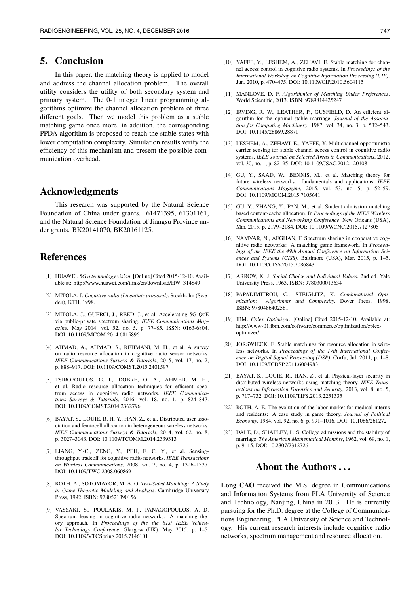# **5. Conclusion**

In this paper, the matching theory is applied to model and address the channel allocation problem. The overall utility considers the utility of both secondary system and primary system. The 0-1 integer linear programming algorithms optimize the channel allocation problem of three different goals. Then we model this problem as a stable matching game once more, in addition, the corresponding PPDA algorithm is proposed to reach the stable states with lower computation complexity. Simulation results verify the efficiency of this mechanism and present the possible communication overhead.

## **Acknowledgments**

This research was supported by the Natural Science Foundation of China under grants. 61471395, 61301161, and the Natural Science Foundation of Jiangsu Province under grants. BK20141070, BK20161125.

# **References**

- [1] HUAWEI. *5G a technology vision*. [Online] Cited 2015-12-10. Available at: http://www.huawei.com/ilink/en/download/HW\_314849
- [2] MITOLA, J. *Cognitive radio (Licentiate proposal)*. Stockholm (Sweden), KTH, 1998.
- [3] MITOLA, J., GUERCI, J., REED, J., et al. Accelerating 5G QoE via public-private spectrum sharing. *IEEE Communications Magazine*, May 2014, vol. 52, no. 5, p. 77–85. ISSN: 0163-6804. DOI: 10.1109/MCOM.2014.6815896
- [4] AHMAD, A., AHMAD, S., REHMANI, M. H., et al. A survey on radio resource allocation in cognitive radio sensor networks. *IEEE Communications Surveys & Tutorials*, 2015, vol. 17, no. 2, p. 888–917. DOI: 10.1109/COMST.2015.2401597
- [5] TSIROPOULOS, G. I., DOBRE, O. A., AHMED, M. H., et al. Radio resource allocation techniques for efficient spectrum access in cognitive radio networks. *IEEE Communications Surveys & Tutorials*, 2016, vol. 18, no. 1, p. 824–847. DOI: 10.1109/COMST.2014.2362796
- [6] BAYAT, S., LOUIE, R. H. Y., HAN, Z., et al. Distributed user association and femtocell allocation in heterogeneous wireless networks. *IEEE Communications Surveys & Tutorials*, 2014, vol. 62, no. 8, p. 3027–3043. DOI: 10.1109/TCOMM.2014.2339313
- [7] LIANG, Y.-C., ZENG, Y., PEH, E. C. Y., et al. Sensingthroughput tradeoff for cognitive radio networks. *IEEE Transactions on Wireless Communications*, 2008, vol. 7, no. 4, p. 1326–1337. DOI: 10.1109/TWC.2008.060869
- [8] ROTH, A., SOTOMAYOR, M. A. O. *Two-Sided Matching: A Study in Game-Theoretic Modeling and Analysis*. Cambridge University Press, 1992. ISBN: 9780521390156
- [9] VASSAKI, S., POULAKIS, M. I., PANAGOPOULOS, A. D. Spectrum leasing in cognitive radio networks: A matching theory approach. In *Proceedings of the the 81st IEEE Vehicular Technology Conference*. Glasgow (UK), May 2015, p. 1–5. DOI: 10.1109/VTCSpring.2015.7146101
- [11] MANLOVE, D. F. *Algorithmics of Matching Under Preferences*. World Scientific, 2013. ISBN: 9789814425247
- [12] IRVING, R. W., LEATHER, P., GUSFIELD, D. An efficient algorithm for the optimal stable marriage. *Journal of the Association for Computing Machinery*, 1987, vol. 34, no. 3, p. 532–543. DOI: 10.1145/28869.28871
- [13] LESHEM, A., ZEHAVI, E., YAFFE, Y. Multichannel opportunistic carrier sensing for stable channel access control in cognitive radio systems. *IEEE Journal on Selected Areas in Communications*, 2012, vol. 30, no. 1, p. 82–95. DOI: 10.1109/JSAC.2012.120108
- [14] GU, Y., SAAD, W., BENNIS, M., et al. Matching theory for future wireless networks: fundamentals and applications. *IEEE Communications Magazine*, 2015, vol. 53, no. 5, p. 52–59. DOI: 10.1109/MCOM.2015.7105641
- [15] GU, Y., ZHANG, Y., PAN, M., et al. Student admission matching based content-cache allocation. In *Proceedings of the IEEE Wireless Communications and Networking Conference*. New Orleans (USA), Mar. 2015, p. 2179–2184. DOI: 10.1109/WCNC.2015.7127805
- [16] NAMVAR, N., AFGHAN, F. Spectrum sharing in cooperative cognitive radio networks: A matching game framework. In *Proceedings of the IEEE the 49th Annual Conference on Information Sciences and Systems (CISS)*. Baltimore (USA), Mar. 2015, p. 1–5. DOI: 10.1109/CISS.2015.7086843
- [17] ARROW, K. J. *Social Choice and Individual Values*. 2nd ed. Yale University Press, 1963. ISBN: 9780300013634
- [18] PAPADIMITROU, C., STEIGLITZ, K. *Combinatorial Optimization: Algorithms and Complexity*. Dover Press, 1998. ISBN: 9780486402581
- [19] IBM. *Cplex Optimizer*. [Online] Cited 2015-12-10. Available at: http://www-01.ibm.com/software/commerce/optimization/cplexoptimizer/.
- [20] JORSWIECK, E. Stable matchings for resource allocation in wireless networks. In *Proceedings of the 17th International Conference on Digital Signal Processing (DSP)*. Corfu, Jul. 2011, p. 1–8. DOI: 10.1109/ICDSP.2011.6004983
- [21] BAYAT, S., LOUIE, R., HAN, Z., et al. Physical-layer security in distributed wireless networks using matching theory. *IEEE Transactions on Information Forensics and Security*, 2013, vol. 8, no. 5, p. 717–732. DOI: 10.1109/TIFS.2013.2251335
- [22] ROTH, A. E. The evolution of the labor market for medical interns and residents: A case study in game theory. *Journal of Political Economy*, 1984, vol. 92, no. 6, p. 991–1016. DOI: 10.1086/261272
- [23] DALE, D., SHAPLEY, L. S. College admissions and the stability of marriage. *The American Mathematical Monthly*, 1962, vol. 69, no. 1, p. 9–15. DOI: 10.2307/2312726

## **About the Authors . . .**

**Long CAO** received the M.S. degree in Communications and Information Systems from PLA University of Science and Technology, Nanjing, China in 2013. He is currently pursuing for the Ph.D. degree at the College of Communications Engineering, PLA University of Science and Technology. His current research interests include cognitive radio networks, spectrum management and resource allocation.